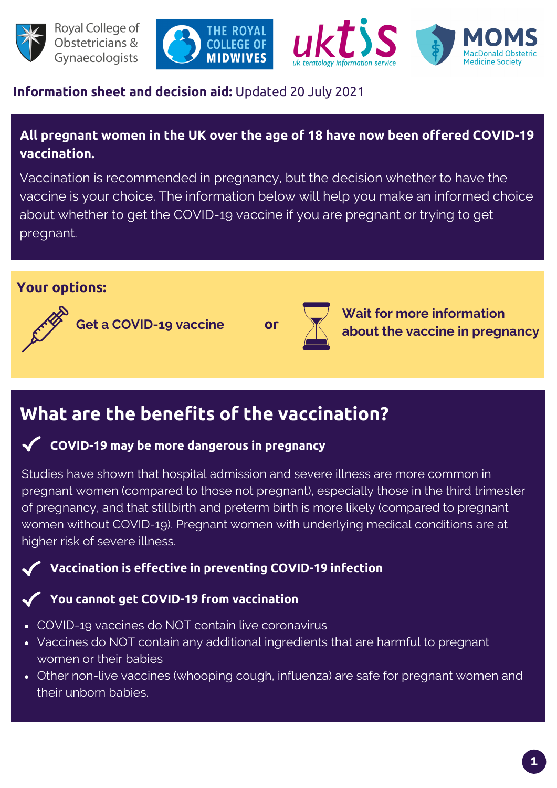







## **Information sheet and decision aid:** Updated 20 July 2021

## **All pregnant women in the UK over the age of 18 have now been offered COVID-19 vaccination.**

Vaccination is recommended in pregnancy, but the decision whether to have the vaccine is your choice. The information below will help you make an informed choice about whether to get the COVID-19 vaccine if you are pregnant or trying to get pregnant.

### **Your options:**



**Get a COVID-19 vaccine**



**Wait for more information about the vaccine in pregnancy**

# **What are the benefits of the vaccination?**

### **COVID-19 may be more dangerous in pregnancy**

Studies have shown that hospital admission and severe illness are more common in pregnant women (compared to those not pregnant), especially those in the third trimester of pregnancy, and that stillbirth and preterm birth is more likely (compared to pregnant women without COVID-19). Pregnant women with underlying medical conditions are at higher risk of severe illness.

## **Vaccination is effective in preventing COVID-19 infection**

#### **You cannot get COVID-19 from vaccination**

- COVID-19 vaccines do NOT contain live coronavirus
- Vaccines do NOT contain any additional ingredients that are harmful to pregnant women or their babies
- Other non-live vaccines (whooping cough, influenza) are safe for pregnant women and their unborn babies.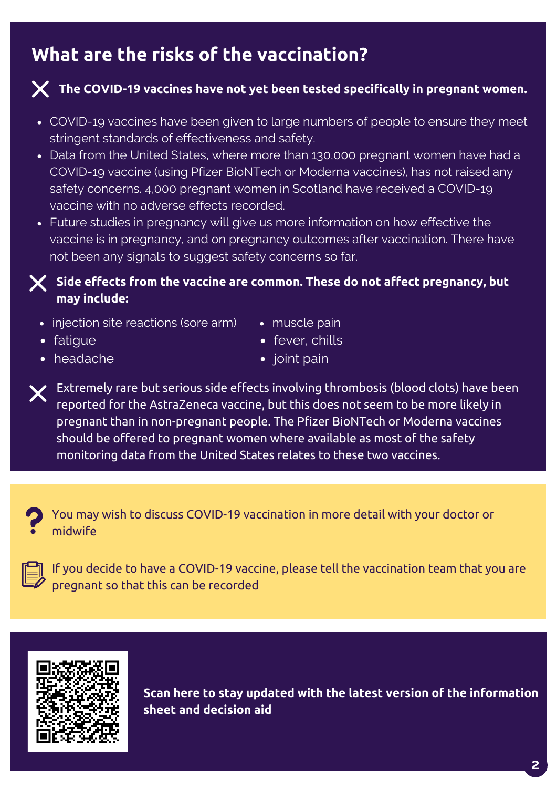# **What are the risks of the vaccination?**



## **The COVID-19 vaccines have not yet been tested specifically in pregnant women.**

- COVID-19 vaccines have been given to large numbers of people to ensure they meet stringent standards of effectiveness and safety.
- Data from the United States, where more than 130,000 pregnant women have had a COVID-19 vaccine (using Pfizer BioNTech or Moderna vaccines), has not raised any safety concerns. 4,000 pregnant women in Scotland have received a COVID-19 vaccine with no adverse effects recorded.
- Future studies in pregnancy will give us more information on how effective the vaccine is in pregnancy, and on pregnancy outcomes after vaccination. There have not been any signals to suggest safety concerns so far.

#### **Side effects from the vaccine are common. These do not affect pregnancy, but may include:**

- injection site reactions (sore arm)
- muscle pain

• fatigue

• fever, chills

headache

• joint pain

 $\bm{\mathsf{X}}$  Extremely rare but serious side effects involving thrombosis (blood clots) have been reported for the AstraZeneca vaccine, but this does not seem to be more likely in pregnant than in non-pregnant people. The Pfizer BioNTech or Moderna vaccines should be offered to pregnant women where available as most of the safety monitoring data from the United States relates to these two vaccines.





If you decide to have a COVID-19 vaccine, please tell the vaccination team that you are pregnant so that this can be recorded



**Scan here to stay updated with the latest version of the information sheet and decision aid**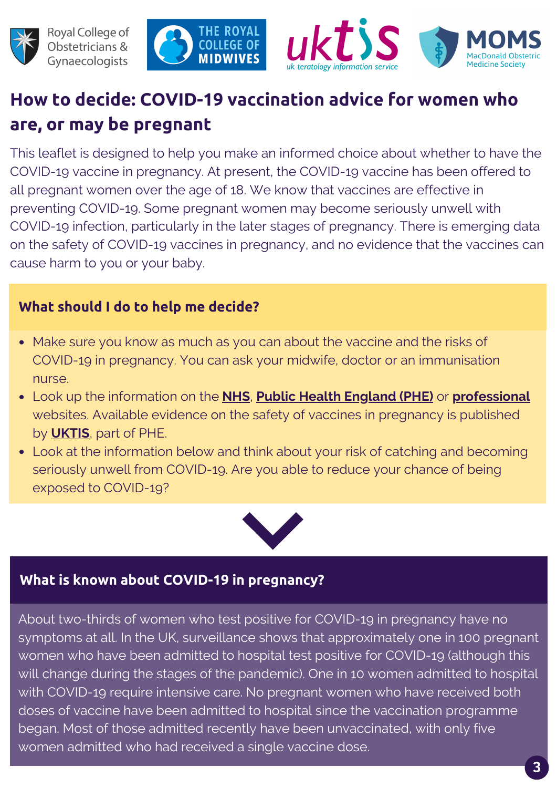





# **How to decide: COVID-19 vaccination advice for women who are, or may be pregnant**

This leaflet is designed to help you make an informed choice about whether to have the COVID-19 vaccine in pregnancy. At present, the COVID-19 vaccine has been offered to all pregnant women over the age of 18. We know that vaccines are effective in preventing COVID-19. Some pregnant women may become seriously unwell with COVID-19 infection, particularly in the later stages of pregnancy. There is emerging data on the safety of COVID-19 vaccines in pregnancy, and no evidence that the vaccines can cause harm to you or your baby.

# **What should I do to help me decide?**

- Make sure you know as much as you can about the vaccine and the risks of COVID-19 in pregnancy. You can ask your midwife, doctor or an immunisation nurse.
- Look up the information on the **[NHS](https://www.nhs.uk/conditions/coronavirus-covid-19/people-at-higher-risk/pregnancy-and-coronavirus/)**, **Public Health [England](https://www.gov.uk/government/collections/covid-19-vaccination-programme) (PHE)** or **[professional](http://www.rcog.org.uk/coronavirus-pregnancy)** websites. Available evidence on the safety of vaccines in pregnancy is published by **[UKTIS](https://www.medicinesinpregnancy.org/bumps/monographs/USE-OF-NON-LIVE-VACCINES-IN-PREGNANCY/)**, part of PHE.
- Look at the information below and think about your risk of catching and becoming seriously unwell from COVID-19. Are you able to reduce your chance of being exposed to COVID-19?



# **What is known about COVID-19 in pregnancy?**

About two-thirds of women who test positive for COVID-19 in pregnancy have no symptoms at all. In the UK, surveillance shows that approximately one in 100 pregnant women who have been admitted to hospital test positive for COVID-19 (although this will change during the stages of the pandemic). One in 10 women admitted to hospital with COVID-19 require intensive care. No pregnant women who have received both doses of vaccine have been admitted to hospital since the vaccination programme began. Most of those admitted recently have been unvaccinated, with only five women admitted who had received a single vaccine dose.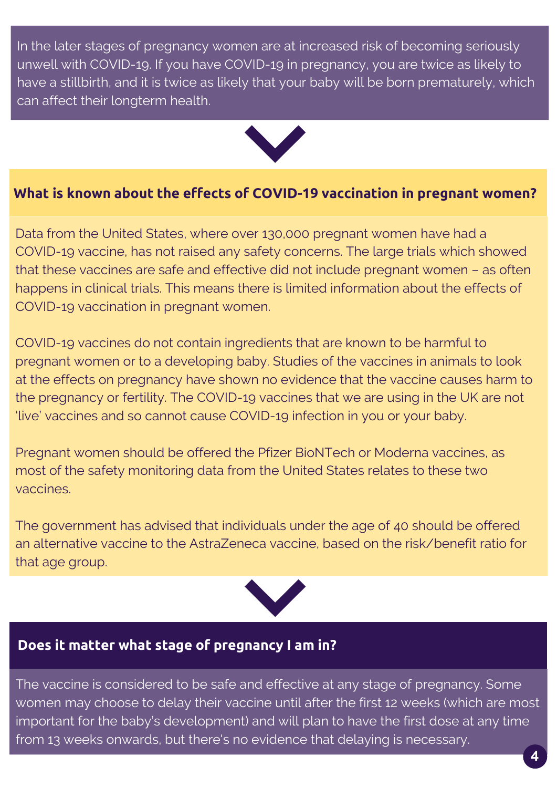In the later stages of pregnancy women are at increased risk of becoming seriously unwell with COVID-19. If you have COVID-19 in pregnancy, you are twice as likely to have a stillbirth, and it is twice as likely that your baby will be born prematurely, which can affect their longterm health.



### **What is known about the effects of COVID-19 vaccination in pregnant women?**

Data from the United States, where over 130,000 pregnant women have had a COVID-19 vaccine, has not raised any safety concerns. The large trials which showed that these vaccines are safe and effective did not include pregnant women – as often happens in clinical trials. This means there is limited information about the effects of COVID-19 vaccination in pregnant women.

COVID-19 vaccines do not contain ingredients that are known to be harmful to pregnant women or to a developing baby. Studies of the vaccines in animals to look at the effects on pregnancy have shown no evidence that the vaccine causes harm to the pregnancy or fertility. The COVID-19 vaccines that we are using in the UK are not 'live' vaccines and so cannot cause COVID-19 infection in you or your baby.

Pregnant women should be offered the Pfizer BioNTech or Moderna vaccines, as most of the safety monitoring data from the United States relates to these two vaccines.

The government has advised that individuals under the age of 40 should be offered an alternative vaccine to the AstraZeneca vaccine, based on the risk/benefit ratio for that age group.



# **Does it matter what stage of pregnancy I am in?**

The vaccine is considered to be safe and effective at any stage of pregnancy. Some women may choose to delay their vaccine until after the first 12 weeks (which are most important for the baby's development) and will plan to have the first dose at any time from 13 weeks onwards, but there's no evidence that delaying is necessary.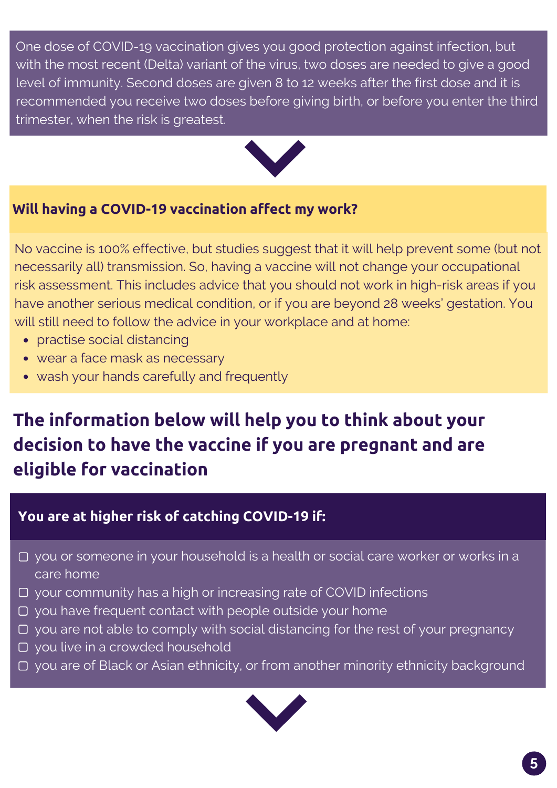One dose of COVID-19 vaccination gives you good protection against infection, but with the most recent (Delta) variant of the virus, two doses are needed to give a good level of immunity. Second doses are given 8 to 12 weeks after the first dose and it is recommended you receive two doses before giving birth, or before you enter the third trimester, when the risk is greatest.



## **Will having a COVID-19 vaccination affect my work?**

No vaccine is 100% effective, but studies suggest that it will help prevent some (but not necessarily all) transmission. So, having a vaccine will not change your occupational risk assessment. This includes advice that you should not work in high-risk areas if you have another serious medical condition, or if you are beyond 28 weeks' gestation. You will still need to follow the advice in your workplace and at home:

- practise social distancing
- wear a face mask as necessary
- wash your hands carefully and frequently

# **The information below will help you to think about your decision to have the vaccine if you are pregnant and are eligible for vaccination**

# **You are at higher risk of catching COVID-19 if:**

- □ you or someone in your household is a health or social care worker or works in a care home
- your community has a high or increasing rate of COVID infections
- $\Box$  you have frequent contact with people outside your home
- $\Box$  you are not able to comply with social distancing for the rest of your pregnancy
- you live in a crowded household
- □ you are of Black or Asian ethnicity, or from another minority ethnicity background